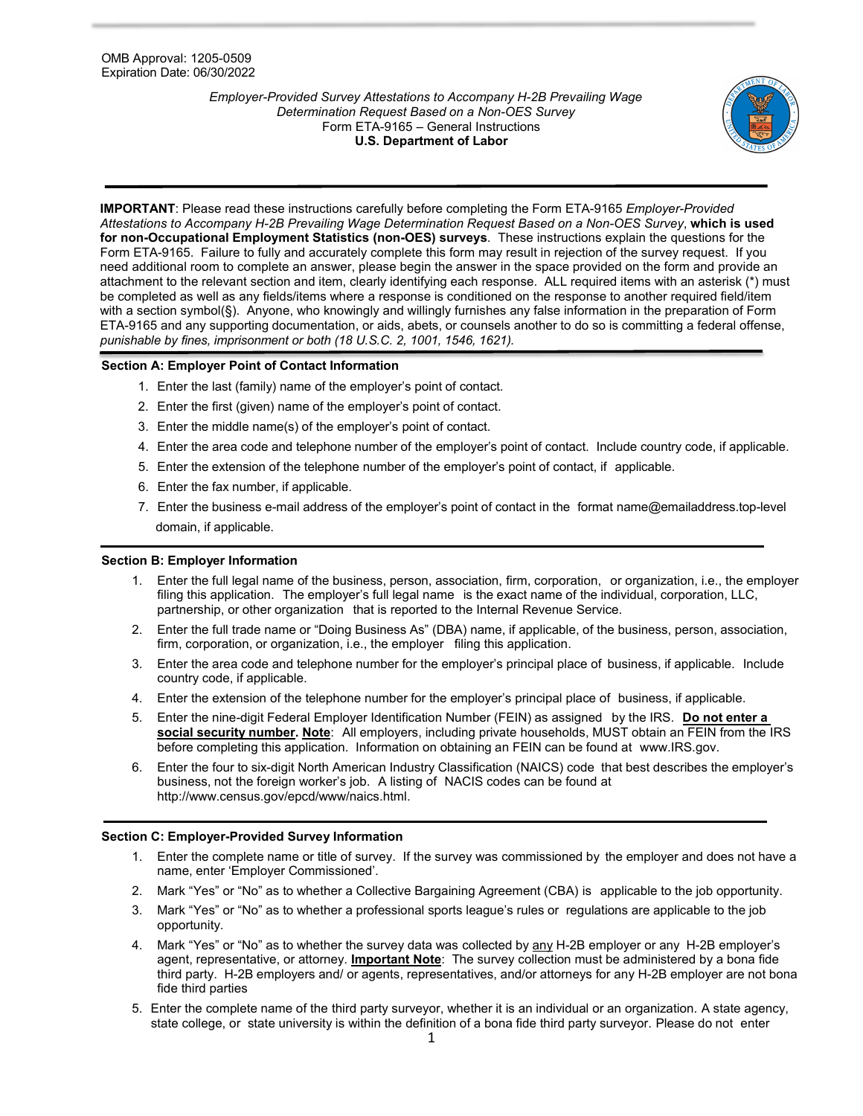*Employer-Provided Survey Attestations to Accompany H-2B Prevailing Wage Determination Request Based on a Non-OES Survey* Form ETA-9165 – General Instructions **U.S. Department of Labor**



**IMPORTANT**: Please read these instructions carefully before completing the Form ETA-9165 *Employer-Provided Attestations to Accompany H-2B Prevailing Wage Determination Request Based on a Non-OES Survey*, **which is used for non-Occupational Employment Statistics (non-OES) surveys**. These instructions explain the questions for the Form ETA-9165. Failure to fully and accurately complete this form may result in rejection of the survey request. If you need additional room to complete an answer, please begin the answer in the space provided on the form and provide an attachment to the relevant section and item, clearly identifying each response. ALL required items with an asterisk (\*) must be completed as well as any fields/items where a response is conditioned on the response to another required field/item with a section symbol(§). Anyone, who knowingly and willingly furnishes any false information in the preparation of Form ETA-9165 and any supporting documentation, or aids, abets, or counsels another to do so is committing a federal offense, *punishable by fines, imprisonment or both (18 U.S.C. 2, 1001, 1546, 1621).*

# **Section A: Employer Point of Contact Information**

- 1. Enter the last (family) name of the employer's point of contact.
- 2. Enter the first (given) name of the employer's point of contact.
- 3. Enter the middle name(s) of the employer's point of contact.
- 4. Enter the area code and telephone number of the employer's point of contact. Include country code, if applicable.
- 5. Enter the extension of the telephone number of the employer's point of contact, if applicable.
- 6. Enter the fax number, if applicable.
- 7. Enter the business e-mail address of the employer's point of contact in the format [name@emailaddress.top-level](mailto:name@emailaddress.top-level) domain, if applicable.

## **Section B: Employer Information**

- 1. Enter the full legal name of the business, person, association, firm, corporation, or organization, i.e., the employer filing this application. The employer's full legal name is the exact name of the individual, corporation, LLC, partnership, or other organization that is reported to the Internal Revenue Service.
- 2. Enter the full trade name or "Doing Business As" (DBA) name, if applicable, of the business, person, association, firm, corporation, or organization, i.e., the employer filing this application.
- 3. Enter the area code and telephone number for the employer's principal place of business, if applicable. Include country code, if applicable.
- 4. Enter the extension of the telephone number for the employer's principal place of business, if applicable.
- 5. Enter the nine-digit Federal Employer Identification Number (FEIN) as assigned by the IRS. **Do not enter a social security number. Note**: All employers, including private households, MUST obtain an FEIN from the IRS before completing this application. Information on obtaining an FEIN can be found at [www.IRS.gov.](http://www.irs.gov/)
- 6. Enter the four to six-digit North American Industry Classification (NAICS) code that best describes the employer's business, not the foreign worker's job. A listing of NACIS codes can be found at [http://www.census.gov/epcd/www/naics.html.](http://www.census.gov/epcd/www/naics.html)

# **Section C: Employer-Provided Survey Information**

- 1. Enter the complete name or title of survey. If the survey was commissioned by the employer and does not have a name, enter 'Employer Commissioned'.
- 2. Mark "Yes" or "No" as to whether a Collective Bargaining Agreement (CBA) is applicable to the job opportunity.
- 3. Mark "Yes" or "No" as to whether a professional sports league's rules or regulations are applicable to the job opportunity.
- 4. Mark "Yes" or "No" as to whether the survey data was collected by any H-2B employer or any H-2B employer's agent, representative, or attorney. **Important Note**: The survey collection must be administered by a bona fide third party. H-2B employers and/ or agents, representatives, and/or attorneys for any H-2B employer are not bona fide third parties
- 5. Enter the complete name of the third party surveyor, whether it is an individual or an organization. A state agency, state college, or state university is within the definition of a bona fide third party surveyor. Please do not enter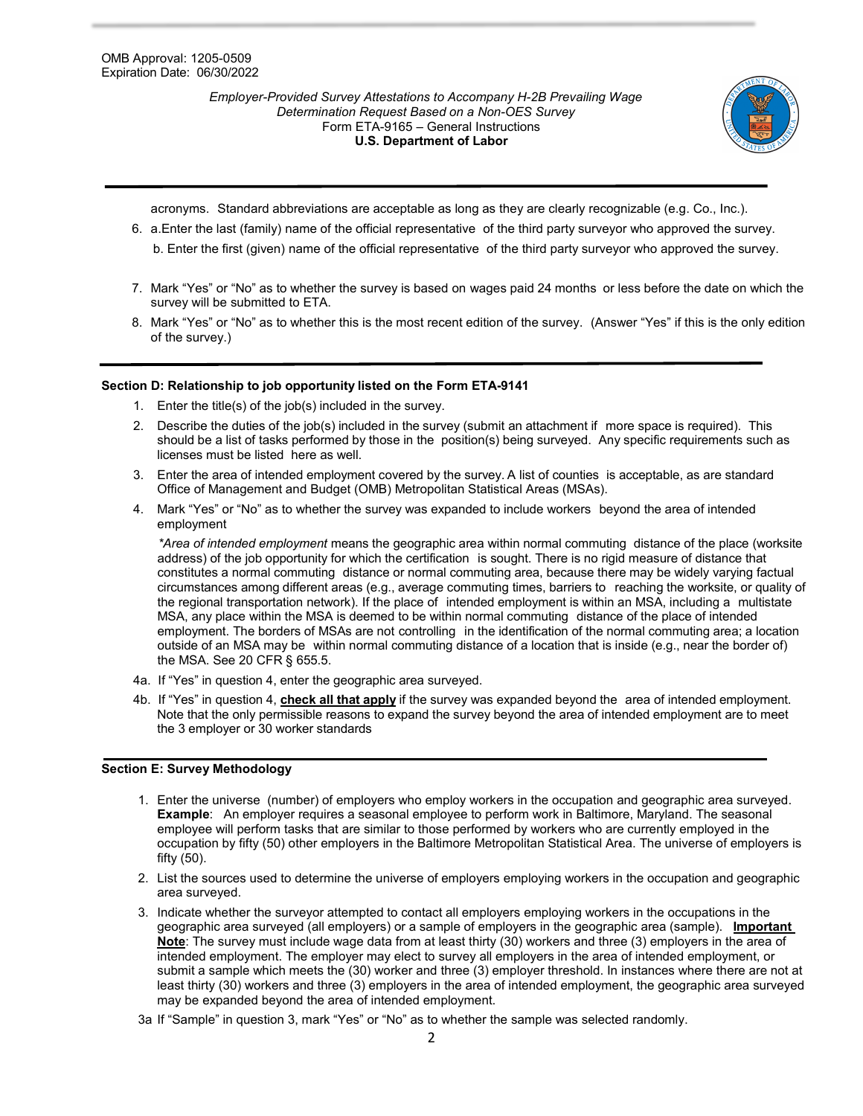*Employer-Provided Survey Attestations to Accompany H-2B Prevailing Wage Determination Request Based on a Non-OES Survey* Form ETA-9165 – General Instructions **U.S. Department of Labor**



acronyms. Standard abbreviations are acceptable as long as they are clearly recognizable (e.g. Co., Inc.).

- 6. a.Enter the last (family) name of the official representative of the third party surveyor who approved the survey. b. Enter the first (given) name of the official representative of the third party surveyor who approved the survey.
- 7. Mark "Yes" or "No" as to whether the survey is based on wages paid 24 months or less before the date on which the survey will be submitted to ETA.
- 8. Mark "Yes" or "No" as to whether this is the most recent edition of the survey. (Answer "Yes" if this is the only edition of the survey.)

## **Section D: Relationship to job opportunity listed on the Form ETA-9141**

- 1. Enter the title(s) of the job(s) included in the survey.
- 2. Describe the duties of the job(s) included in the survey (submit an attachment if more space is required). This should be a list of tasks performed by those in the position(s) being surveyed. Any specific requirements such as licenses must be listed here as well.
- 3. Enter the area of intended employment covered by the survey. A list of counties is acceptable, as are standard Office of Management and Budget (OMB) Metropolitan Statistical Areas (MSAs).
- 4. Mark "Yes" or "No" as to whether the survey was expanded to include workers beyond the area of intended employment

*\*Area of intended employment* means the geographic area within normal commuting distance of the place (worksite address) of the job opportunity for which the certification is sought. There is no rigid measure of distance that constitutes a normal commuting distance or normal commuting area, because there may be widely varying factual circumstances among different areas (e.g., average commuting times, barriers to reaching the worksite, or quality of the regional transportation network). If the place of intended employment is within an MSA, including a multistate MSA, any place within the MSA is deemed to be within normal commuting distance of the place of intended employment. The borders of MSAs are not controlling in the identification of the normal commuting area; a location outside of an MSA may be within normal commuting distance of a location that is inside (e.g., near the border of) the MSA. See 20 CFR § 655.5.

- 4a. If "Yes" in question 4, enter the geographic area surveyed.
- 4b. If "Yes" in question 4, **check all that apply** if the survey was expanded beyond the area of intended employment. Note that the only permissible reasons to expand the survey beyond the area of intended employment are to meet the 3 employer or 30 worker standards

## **Section E: Survey Methodology**

- 1. Enter the universe (number) of employers who employ workers in the occupation and geographic area surveyed. **Example**: An employer requires a seasonal employee to perform work in Baltimore, Maryland. The seasonal employee will perform tasks that are similar to those performed by workers who are currently employed in the occupation by fifty (50) other employers in the Baltimore Metropolitan Statistical Area. The universe of employers is fifty (50).
- 2. List the sources used to determine the universe of employers employing workers in the occupation and geographic area surveyed.
- 3. Indicate whether the surveyor attempted to contact all employers employing workers in the occupations in the geographic area surveyed (all employers) or a sample of employers in the geographic area (sample). **Important Note**: The survey must include wage data from at least thirty (30) workers and three (3) employers in the area of intended employment. The employer may elect to survey all employers in the area of intended employment, or submit a sample which meets the (30) worker and three (3) employer threshold. In instances where there are not at least thirty (30) workers and three (3) employers in the area of intended employment, the geographic area surveyed may be expanded beyond the area of intended employment.
- 3a If "Sample" in question 3, mark "Yes" or "No" as to whether the sample was selected randomly.